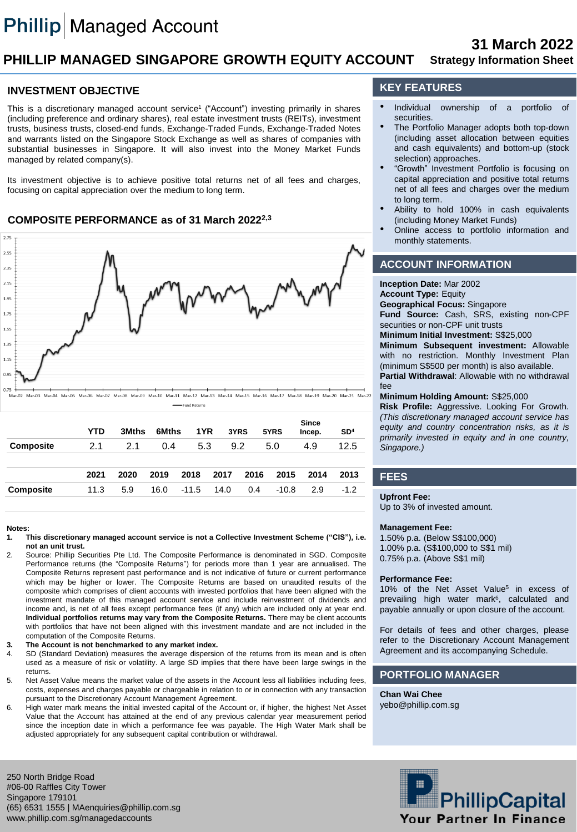#### **PHILLIP MANAGED SINGAPORE GROWTH EQUITY ACCOUNT Strategy Information Sheet**

# **INVESTMENT OBJECTIVE**

This is a discretionary managed account service<sup>1</sup> ("Account") investing primarily in shares (including preference and ordinary shares), real estate investment trusts (REITs), investment trusts, business trusts, closed-end funds, Exchange-Traded Funds, Exchange-Traded Notes and warrants listed on the Singapore Stock Exchange as well as shares of companies with substantial businesses in Singapore. It will also invest into the Money Market Funds managed by related company(s).

Its investment objective is to achieve positive total returns net of all fees and charges, focusing on capital appreciation over the medium to long term.

## **COMPOSITE PERFORMANCE as of 31 March 20222,3**



|           | <b>YTD</b> | 3Mths | 6Mths | 1YR     |      | 3YRS | 5YRS    | <b>Since</b><br>Incep. | SD <sup>4</sup> |
|-----------|------------|-------|-------|---------|------|------|---------|------------------------|-----------------|
| Composite | 2.1        | 2.1   | 0.4   | 5.3     |      | 9.2  | 5.0     | 4.9                    | 12.5            |
|           |            |       |       |         |      |      |         |                        |                 |
|           | 2021       | 2020  | 2019  | 2018    | 2017 | 2016 | 2015    | 2014                   | 2013            |
| Composite | 11.3       | 5.9   | 16.0  | $-11.5$ | 14.0 | 0.4  | $-10.8$ | 2.9                    | $-1.2$          |
|           |            |       |       |         |      |      |         |                        |                 |

## **Notes:**

- **1. This discretionary managed account service is not a Collective Investment Scheme ("CIS"), i.e. not an unit trust.**
- 2. Source: Phillip Securities Pte Ltd. The Composite Performance is denominated in SGD. Composite Performance returns (the "Composite Returns") for periods more than 1 year are annualised. The Composite Returns represent past performance and is not indicative of future or current performance which may be higher or lower. The Composite Returns are based on unaudited results of the composite which comprises of client accounts with invested portfolios that have been aligned with the investment mandate of this managed account service and include reinvestment of dividends and income and, is net of all fees except performance fees (if any) which are included only at year end. **Individual portfolios returns may vary from the Composite Returns.** There may be client accounts with portfolios that have not been aligned with this investment mandate and are not included in the computation of the Composite Returns.
- **3. The Account is not benchmarked to any market index.**
- 4. SD (Standard Deviation) measures the average dispersion of the returns from its mean and is often used as a measure of risk or volatility. A large SD implies that there have been large swings in the returns.
- 5. Net Asset Value means the market value of the assets in the Account less all liabilities including fees, costs, expenses and charges payable or chargeable in relation to or in connection with any transaction pursuant to the Discretionary Account Management Agreement.
- 6. High water mark means the initial invested capital of the Account or, if higher, the highest Net Asset Value that the Account has attained at the end of any previous calendar year measurement period since the inception date in which a performance fee was payable. The High Water Mark shall be adjusted appropriately for any subsequent capital contribution or withdrawal.

**KEY FEATURES**

• Individual ownership of a portfolio of securities.

**31 March 2022**

- The Portfolio Manager adopts both top-down (including asset allocation between equities and cash equivalents) and bottom-up (stock selection) approaches.
- "Growth" Investment Portfolio is focusing on capital appreciation and positive total returns net of all fees and charges over the medium to long term.
- Ability to hold 100% in cash equivalents (including Money Market Funds)
- Online access to portfolio information and monthly statements.

# **ACCOUNT INFORMATION**

**Inception Date:** Mar 2002 **Account Type:** Equity **Geographical Focus:** Singapore **Fund Source:** Cash, SRS, existing non-CPF securities or non-CPF unit trusts **Minimum Initial Investment:** S\$25,000 **Minimum Subsequent investment:** Allowable with no restriction. Monthly Investment Plan (minimum S\$500 per month) is also available. **Partial Withdrawal**: Allowable with no withdrawal fee

**Minimum Holding Amount:** S\$25,000

**Risk Profile:** Aggressive. Looking For Growth. *(This discretionary managed account service has equity and country concentration risks, as it is primarily invested in equity and in one country, Singapore.)*

## **FEES**

## **Upfront Fee:**

Up to 3% of invested amount.

## **Management Fee:**

1.50% p.a. (Below S\$100,000) 1.00% p.a. (S\$100,000 to S\$1 mil) 0.75% p.a. (Above S\$1 mil)

#### **Performance Fee:**

10% of the Net Asset Value<sup>5</sup> in excess of prevailing high water mark<sup>6</sup>, calculated and payable annually or upon closure of the account.

For details of fees and other charges, please refer to the Discretionary Account Management Agreement and its accompanying Schedule.

# **PORTFOLIO MANAGER**

**Chan Wai Chee** yebo@phillip.com.sg